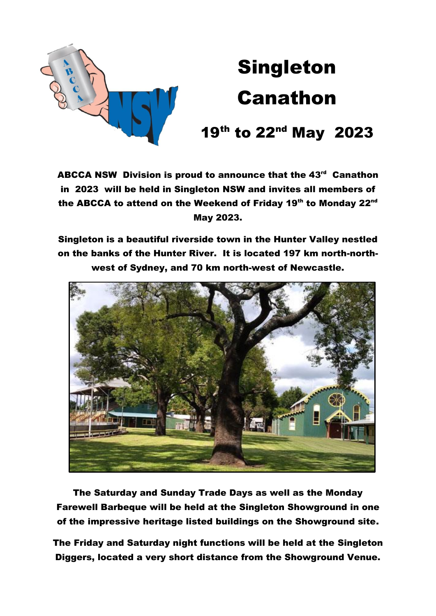

# Singleton Canathon

## 19th to 22<sup>nd</sup> May 2023

ABCCA NSW Division is proud to announce that the 43<sup>rd</sup> Canathon in 2023 will be held in Singleton NSW and invites all members of the ABCCA to attend on the Weekend of Friday 19<sup>th</sup> to Monday 22<sup>nd</sup> May 2023.

Singleton is a beautiful riverside town in the Hunter Valley nestled on the banks of the Hunter River. It is located 197 km north-northwest of Sydney, and 70 km north-west of Newcastle.



The Saturday and Sunday Trade Days as well as the Monday Farewell Barbeque will be held at the Singleton Showground in one of the impressive heritage listed buildings on the Showground site.

The Friday and Saturday night functions will be held at the Singleton Diggers, located a very short distance from the Showground Venue.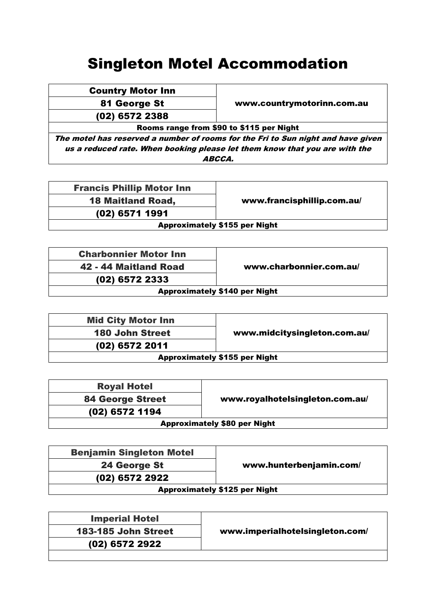#### Singleton Motel Accommodation

| <b>Country Motor Inn</b> |  |
|--------------------------|--|
|                          |  |

(02) 6572 2388

81 George St **WALER WE** www.countrymotorinn.com.au

Rooms range from \$90 to \$115 per Night

The motel has reserved a number of rooms for the Fri to Sun night and have given us a reduced rate. When booking please let them know that you are with the ABCCA.

Francis Phillip Motor Inn (02) 6571 1991

18 Maitland Road, www.francisphillip.com.au/

Approximately \$155 per Night

| <b>Charbonnier Motor Inn</b> |  |
|------------------------------|--|
| 42 - 44 Maitland Road        |  |
| (02) 6572 2333               |  |

www.charbonnier.com.au/

Approximately \$140 per Night

| <b>Mid City Motor Inn</b>            |                              |
|--------------------------------------|------------------------------|
| <b>180 John Street</b>               | www.midcitysingleton.com.au/ |
| (02) 6572 2011                       |                              |
| <b>Approximately \$155 per Night</b> |                              |

| <b>Royal Hotel</b>                  |                                 |
|-------------------------------------|---------------------------------|
| <b>84 George Street</b>             | www.royalhotelsingleton.com.au/ |
| (02) 6572 1194                      |                                 |
| <b>Approximately \$80 per Night</b> |                                 |

| <b>Benjamin Singleton Motel</b> |                                      |
|---------------------------------|--------------------------------------|
| 24 George St                    | www.hunterbenjamin.com/              |
| (02) 6572 2922                  |                                      |
|                                 | <b>Approximately \$125 per Night</b> |

| <b>Imperial Hotel</b> |                                 |
|-----------------------|---------------------------------|
| 183-185 John Street   | www.imperialhotelsingleton.com/ |
| (02) 6572 2922        |                                 |